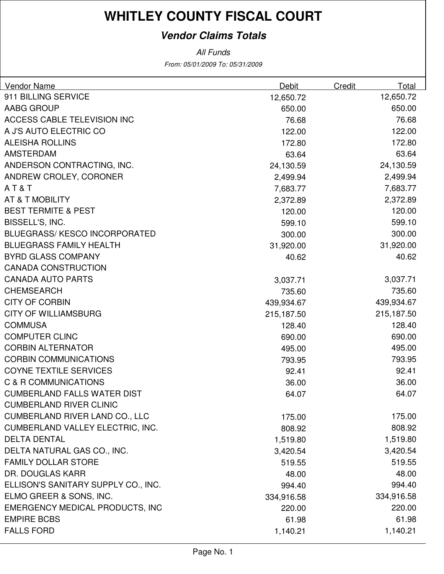### **Vendor Claims Totals**

From: 05/01/2009 To: 05/31/2009 All Funds

| <b>Vendor Name</b>                      | Debit      | Credit | Total      |
|-----------------------------------------|------------|--------|------------|
| 911 BILLING SERVICE                     | 12,650.72  |        | 12,650.72  |
| AABG GROUP                              | 650.00     |        | 650.00     |
| ACCESS CABLE TELEVISION INC             | 76.68      |        | 76.68      |
| A J'S AUTO ELECTRIC CO                  | 122.00     |        | 122.00     |
| <b>ALEISHA ROLLINS</b>                  | 172.80     |        | 172.80     |
| <b>AMSTERDAM</b>                        | 63.64      |        | 63.64      |
| ANDERSON CONTRACTING, INC.              | 24,130.59  |        | 24,130.59  |
| ANDREW CROLEY, CORONER                  | 2,499.94   |        | 2,499.94   |
| AT&T                                    | 7,683.77   |        | 7,683.77   |
| AT & T MOBILITY                         | 2,372.89   |        | 2,372.89   |
| <b>BEST TERMITE &amp; PEST</b>          | 120.00     |        | 120.00     |
| BISSELL'S, INC.                         | 599.10     |        | 599.10     |
| <b>BLUEGRASS/KESCO INCORPORATED</b>     | 300.00     |        | 300.00     |
| <b>BLUEGRASS FAMILY HEALTH</b>          | 31,920.00  |        | 31,920.00  |
| <b>BYRD GLASS COMPANY</b>               | 40.62      |        | 40.62      |
| <b>CANADA CONSTRUCTION</b>              |            |        |            |
| <b>CANADA AUTO PARTS</b>                | 3,037.71   |        | 3,037.71   |
| <b>CHEMSEARCH</b>                       | 735.60     |        | 735.60     |
| <b>CITY OF CORBIN</b>                   | 439,934.67 |        | 439,934.67 |
| <b>CITY OF WILLIAMSBURG</b>             | 215,187.50 |        | 215,187.50 |
| <b>COMMUSA</b>                          | 128.40     |        | 128.40     |
| <b>COMPUTER CLINC</b>                   | 690.00     |        | 690.00     |
| <b>CORBIN ALTERNATOR</b>                | 495.00     |        | 495.00     |
| <b>CORBIN COMMUNICATIONS</b>            | 793.95     |        | 793.95     |
| <b>COYNE TEXTILE SERVICES</b>           | 92.41      |        | 92.41      |
| C & R COMMUNICATIONS                    | 36.00      |        | 36.00      |
| <b>CUMBERLAND FALLS WATER DIST</b>      | 64.07      |        | 64.07      |
| <b>CUMBERLAND RIVER CLINIC</b>          |            |        |            |
| <b>CUMBERLAND RIVER LAND CO., LLC</b>   | 175.00     |        | 175.00     |
| <b>CUMBERLAND VALLEY ELECTRIC, INC.</b> | 808.92     |        | 808.92     |
| <b>DELTA DENTAL</b>                     | 1,519.80   |        | 1,519.80   |
| DELTA NATURAL GAS CO., INC.             | 3,420.54   |        | 3,420.54   |
| <b>FAMILY DOLLAR STORE</b>              | 519.55     |        | 519.55     |
| DR. DOUGLAS KARR                        | 48.00      |        | 48.00      |
| ELLISON'S SANITARY SUPPLY CO., INC.     | 994.40     |        | 994.40     |
| ELMO GREER & SONS, INC.                 | 334,916.58 |        | 334,916.58 |
| <b>EMERGENCY MEDICAL PRODUCTS, INC</b>  | 220.00     |        | 220.00     |
| <b>EMPIRE BCBS</b>                      | 61.98      |        | 61.98      |
| <b>FALLS FORD</b>                       | 1,140.21   |        | 1,140.21   |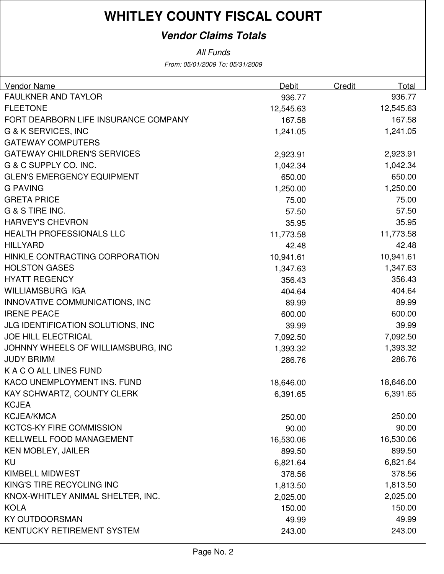### **Vendor Claims Totals**

All Funds

From: 05/01/2009 To: 05/31/2009

| <b>Vendor Name</b>                   | Debit     | Credit | Total     |
|--------------------------------------|-----------|--------|-----------|
| <b>FAULKNER AND TAYLOR</b>           | 936.77    |        | 936.77    |
| <b>FLEETONE</b>                      | 12,545.63 |        | 12,545.63 |
| FORT DEARBORN LIFE INSURANCE COMPANY | 167.58    |        | 167.58    |
| <b>G &amp; K SERVICES, INC</b>       | 1,241.05  |        | 1,241.05  |
| <b>GATEWAY COMPUTERS</b>             |           |        |           |
| <b>GATEWAY CHILDREN'S SERVICES</b>   | 2,923.91  |        | 2,923.91  |
| G & C SUPPLY CO. INC.                | 1,042.34  |        | 1,042.34  |
| <b>GLEN'S EMERGENCY EQUIPMENT</b>    | 650.00    |        | 650.00    |
| <b>G PAVING</b>                      | 1,250.00  |        | 1,250.00  |
| <b>GRETA PRICE</b>                   | 75.00     |        | 75.00     |
| G & S TIRE INC.                      | 57.50     |        | 57.50     |
| <b>HARVEY'S CHEVRON</b>              | 35.95     |        | 35.95     |
| <b>HEALTH PROFESSIONALS LLC</b>      | 11,773.58 |        | 11,773.58 |
| <b>HILLYARD</b>                      | 42.48     |        | 42.48     |
| HINKLE CONTRACTING CORPORATION       | 10,941.61 |        | 10,941.61 |
| <b>HOLSTON GASES</b>                 | 1,347.63  |        | 1,347.63  |
| <b>HYATT REGENCY</b>                 | 356.43    |        | 356.43    |
| WILLIAMSBURG IGA                     | 404.64    |        | 404.64    |
| INNOVATIVE COMMUNICATIONS, INC       | 89.99     |        | 89.99     |
| <b>IRENE PEACE</b>                   | 600.00    |        | 600.00    |
| JLG IDENTIFICATION SOLUTIONS, INC    | 39.99     |        | 39.99     |
| <b>JOE HILL ELECTRICAL</b>           | 7,092.50  |        | 7,092.50  |
| JOHNNY WHEELS OF WILLIAMSBURG, INC   | 1,393.32  |        | 1,393.32  |
| <b>JUDY BRIMM</b>                    | 286.76    |        | 286.76    |
| K A C O ALL LINES FUND               |           |        |           |
| KACO UNEMPLOYMENT INS. FUND          | 18,646.00 |        | 18,646.00 |
| KAY SCHWARTZ, COUNTY CLERK           | 6,391.65  |        | 6,391.65  |
| <b>KCJEA</b>                         |           |        |           |
| <b>KCJEA/KMCA</b>                    | 250.00    |        | 250.00    |
| <b>KCTCS-KY FIRE COMMISSION</b>      | 90.00     |        | 90.00     |
| <b>KELLWELL FOOD MANAGEMENT</b>      | 16,530.06 |        | 16,530.06 |
| <b>KEN MOBLEY, JAILER</b>            | 899.50    |        | 899.50    |
| KU                                   | 6,821.64  |        | 6,821.64  |
| <b>KIMBELL MIDWEST</b>               | 378.56    |        | 378.56    |
| KING'S TIRE RECYCLING INC            | 1,813.50  |        | 1,813.50  |
| KNOX-WHITLEY ANIMAL SHELTER, INC.    | 2,025.00  |        | 2,025.00  |
| <b>KOLA</b>                          | 150.00    |        | 150.00    |
| <b>KY OUTDOORSMAN</b>                | 49.99     |        | 49.99     |
| KENTUCKY RETIREMENT SYSTEM           | 243.00    |        | 243.00    |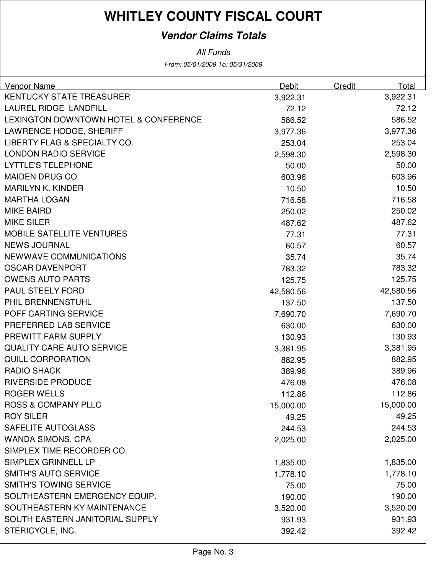### **Vendor Claims Totals**

All Funds

From: 05/01/2009 To: 05/31/2009

| <b>Vendor Name</b>                    | Debit     | Credit | Total     |
|---------------------------------------|-----------|--------|-----------|
| <b>KENTUCKY STATE TREASURER</b>       | 3,922.31  |        | 3,922.31  |
| <b>LAUREL RIDGE LANDFILL</b>          | 72.12     |        | 72.12     |
| LEXINGTON DOWNTOWN HOTEL & CONFERENCE | 586.52    |        | 586.52    |
| <b>LAWRENCE HODGE, SHERIFF</b>        | 3,977.36  |        | 3,977.36  |
| LIBERTY FLAG & SPECIALTY CO.          | 253.04    |        | 253.04    |
| <b>LONDON RADIO SERVICE</b>           | 2,598.30  |        | 2,598.30  |
| <b>LYTTLE'S TELEPHONE</b>             | 50.00     |        | 50.00     |
| <b>MAIDEN DRUG CO.</b>                | 603.96    |        | 603.96    |
| <b>MARILYN K. KINDER</b>              | 10.50     |        | 10.50     |
| <b>MARTHA LOGAN</b>                   | 716.58    |        | 716.58    |
| <b>MIKE BAIRD</b>                     | 250.02    |        | 250.02    |
| <b>MIKE SILER</b>                     | 487.62    |        | 487.62    |
| <b>MOBILE SATELLITE VENTURES</b>      | 77.31     |        | 77.31     |
| <b>NEWS JOURNAL</b>                   | 60.57     |        | 60.57     |
| NEWWAVE COMMUNICATIONS                | 35.74     |        | 35.74     |
| <b>OSCAR DAVENPORT</b>                | 783.32    |        | 783.32    |
| <b>OWENS AUTO PARTS</b>               | 125.75    |        | 125.75    |
| PAUL STEELY FORD                      | 42,580.56 |        | 42,580.56 |
| PHIL BRENNENSTUHL                     | 137.50    |        | 137.50    |
| POFF CARTING SERVICE                  | 7,690.70  |        | 7,690.70  |
| PREFERRED LAB SERVICE                 | 630.00    |        | 630.00    |
| PREWITT FARM SUPPLY                   | 130.93    |        | 130.93    |
| <b>QUALITY CARE AUTO SERVICE</b>      | 3,381.95  |        | 3,381.95  |
| <b>QUILL CORPORATION</b>              | 882.95    |        | 882.95    |
| <b>RADIO SHACK</b>                    | 389.96    |        | 389.96    |
| <b>RIVERSIDE PRODUCE</b>              | 476.08    |        | 476.08    |
| <b>ROGER WELLS</b>                    | 112.86    |        | 112.86    |
| <b>ROSS &amp; COMPANY PLLC</b>        | 15,000.00 |        | 15,000.00 |
| <b>ROY SILER</b>                      | 49.25     |        | 49.25     |
| SAFELITE AUTOGLASS                    | 244.53    |        | 244.53    |
| <b>WANDA SIMONS, CPA</b>              | 2,025.00  |        | 2,025.00  |
| SIMPLEX TIME RECORDER CO.             |           |        |           |
| SIMPLEX GRINNELL LP                   | 1,835.00  |        | 1,835.00  |
| <b>SMITH'S AUTO SERVICE</b>           | 1,778.10  |        | 1,778.10  |
| <b>SMITH'S TOWING SERVICE</b>         | 75.00     |        | 75.00     |
| SOUTHEASTERN EMERGENCY EQUIP.         | 190.00    |        | 190.00    |
| SOUTHEASTERN KY MAINTENANCE           | 3,520.00  |        | 3,520.00  |
| SOUTH EASTERN JANITORIAL SUPPLY       | 931.93    |        | 931.93    |
| STERICYCLE, INC.                      | 392.42    |        | 392.42    |